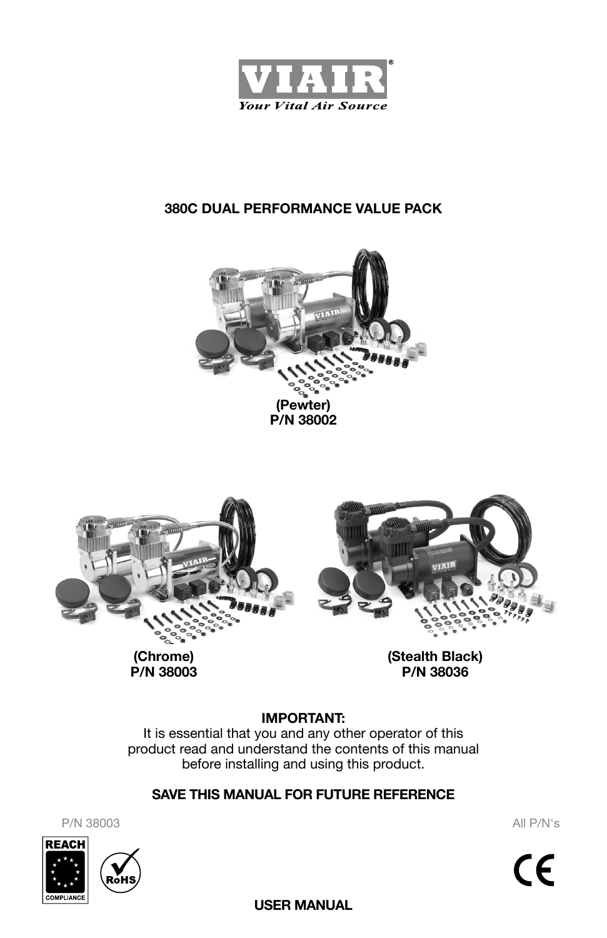





**(Chrome) P/N 38003** **(Stealth Black) P/N 38036**

## **IMPORTANT:**

It is essential that you and any other operator of this product read and understand the contents of this manual before installing and using this product.

### **SAVE THIS MANUAL FOR FUTURE REFERENCE**

P/N 38003 All P/N's



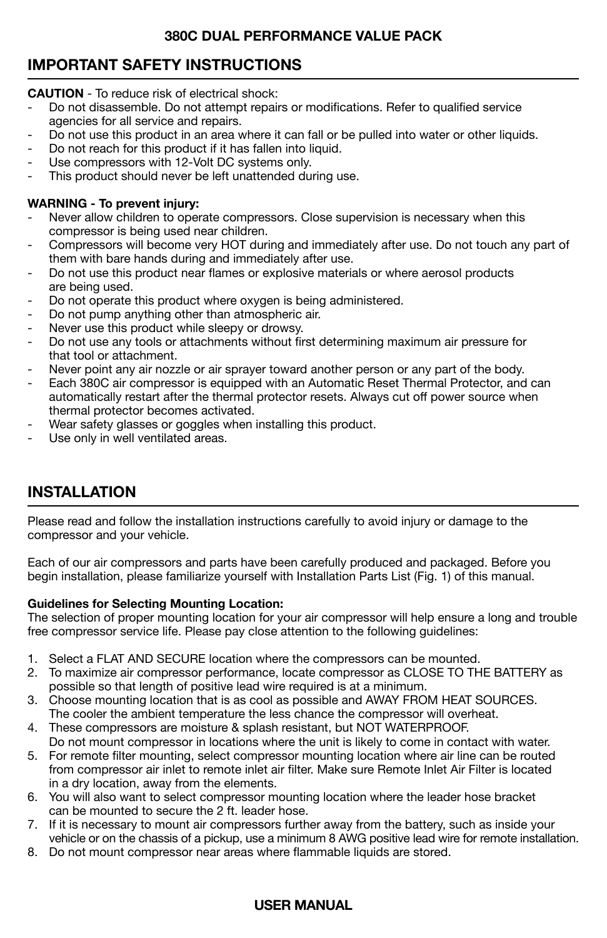# **IMPORTANT SAFETY INSTRUCTIONS**

**CAUTION** - To reduce risk of electrical shock:

- Do not disassemble. Do not attempt repairs or modifications. Refer to qualified service agencies for all service and repairs.
- Do not use this product in an area where it can fall or be pulled into water or other liquids.
- Do not reach for this product if it has fallen into liquid.
- Use compressors with 12-Volt DC systems only.
- This product should never be left unattended during use.

#### **WARNING - To prevent injury:**

- Never allow children to operate compressors. Close supervision is necessary when this compressor is being used near children.
- Compressors will become very HOT during and immediately after use. Do not touch any part of them with bare hands during and immediately after use.
- Do not use this product near flames or explosive materials or where aerosol products are being used.
- Do not operate this product where oxygen is being administered.
- Do not pump anything other than atmospheric air.
- Never use this product while sleepy or drowsy.
- Do not use any tools or attachments without first determining maximum air pressure for that tool or attachment.
- Never point any air nozzle or air sprayer toward another person or any part of the body.
- Each 380C air compressor is equipped with an Automatic Reset Thermal Protector, and can automatically restart after the thermal protector resets. Always cut off power source when thermal protector becomes activated.
- Wear safety glasses or goggles when installing this product.
- Use only in well ventilated areas.

# **INSTALLATION**

Please read and follow the installation instructions carefully to avoid injury or damage to the compressor and your vehicle.

Each of our air compressors and parts have been carefully produced and packaged. Before you begin installation, please familiarize yourself with Installation Parts List (Fig. 1) of this manual.

#### **Guidelines for Selecting Mounting Location:**

The selection of proper mounting location for your air compressor will help ensure a long and trouble free compressor service life. Please pay close attention to the following guidelines:

- 1. Select a FLAT AND SECURE location where the compressors can be mounted.<br>2. To maximize air compressor performance, locate compressor as CLOSE TO TH
- To maximize air compressor performance, locate compressor as CLOSE TO THE BATTERY as possible so that length of positive lead wire required is at a minimum.
- 3. Choose mounting location that is as cool as possible and AWAY FROM HEAT SOURCES. The cooler the ambient temperature the less chance the compressor will overheat.
- 4. These compressors are moisture & splash resistant, but NOT WATERPROOF. Do not mount compressor in locations where the unit is likely to come in contact with water.
- 5. For remote filter mounting, select compressor mounting location where air line can be routed from compressor air inlet to remote inlet air filter. Make sure Remote Inlet Air Filter is located in a dry location, away from the elements.
- 6. You will also want to select compressor mounting location where the leader hose bracket can be mounted to secure the 2 ft. leader hose.
- 7. If it is necessary to mount air compressors further away from the battery, such as inside your vehicle or on the chassis of a pickup, use a minimum 8 AWG positive lead wire for remote installation.
- 8. Do not mount compressor near areas where flammable liquids are stored.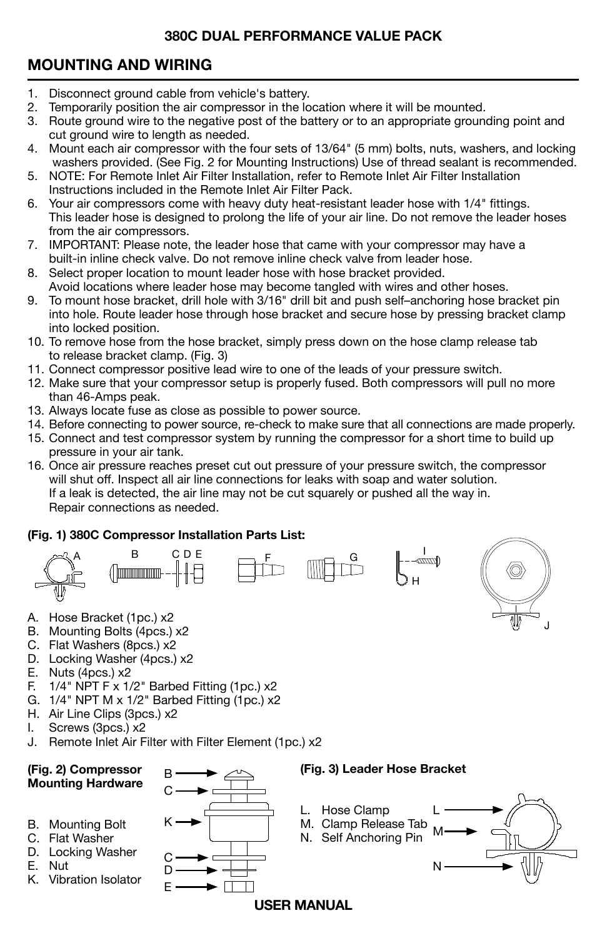# **MOUNTING AND WIRING**

- 1. Disconnect ground cable from vehicle's battery.<br>2. Temporarily position the air compressor in the lo
- 2. Temporarily position the air compressor in the location where it will be mounted.<br>3. Boute ground wire to the negative post of the battery or to an appropriate ground
- Route ground wire to the negative post of the battery or to an appropriate grounding point and cut ground wire to length as needed.
- 4. Mount each air compressor with the four sets of 13/64" (5 mm) bolts, nuts, washers, and locking washers provided. (See Fig. 2 for Mounting Instructions) Use of thread sealant is recommended.
- 5. NOTE: For Remote Inlet Air Filter Installation, refer to Remote Inlet Air Filter Installation Instructions included in the Remote Inlet Air Filter Pack.
- 6. Your air compressors come with heavy duty heat-resistant leader hose with 1/4" fittings. This leader hose is designed to prolong the life of your air line. Do not remove the leader hoses from the air compressors.
- 7. IMPORTANT: Please note, the leader hose that came with your compressor may have a built-in inline check valve. Do not remove inline check valve from leader hose.
- 8. Select proper location to mount leader hose with hose bracket provided. Avoid locations where leader hose may become tangled with wires and other hoses.
- 9. To mount hose bracket, drill hole with 3/16" drill bit and push self–anchoring hose bracket pin into hole. Route leader hose through hose bracket and secure hose by pressing bracket clamp into locked position.
- 10. To remove hose from the hose bracket, simply press down on the hose clamp release tab to release bracket clamp. (Fig. 3)
- 11. Connect compressor positive lead wire to one of the leads of your pressure switch.
- 12. Make sure that your compressor setup is properly fused. Both compressors will pull no more than 46-Amps peak.
- 13. Always locate fuse as close as possible to power source.
- 14. Before connecting to power source, re-check to make sure that all connections are made properly.
- 15. Connect and test compressor system by running the compressor for a short time to build up pressure in your air tank.
- 16. Once air pressure reaches preset cut out pressure of your pressure switch, the compressor will shut off. Inspect all air line connections for leaks with soap and water solution. If a leak is detected, the air line may not be cut squarely or pushed all the way in. Repair connections as needed.

# **(Fig. 1) 380C Compressor Installation Parts List:**





- B. Mounting Bolts (4pcs.) x2
- C. Flat Washers (8pcs.) x2
- D. Locking Washer (4pcs.) x2
- E. Nuts (4pcs.) x2<br>F. 1/4" NPT F x 1/
- $1/4$ " NPT F x  $1/2$ " Barbed Fitting (1pc.) x2
- G. 1/4" NPT M x 1/2" Barbed Fitting (1pc.) x2
- H. Air Line Clips (3pcs.) x2<br>I. Screws (3pcs.) x2
- Screws (3pcs.) x2
- J. Remote Inlet Air Filter with Filter Element (1pc.) x2



J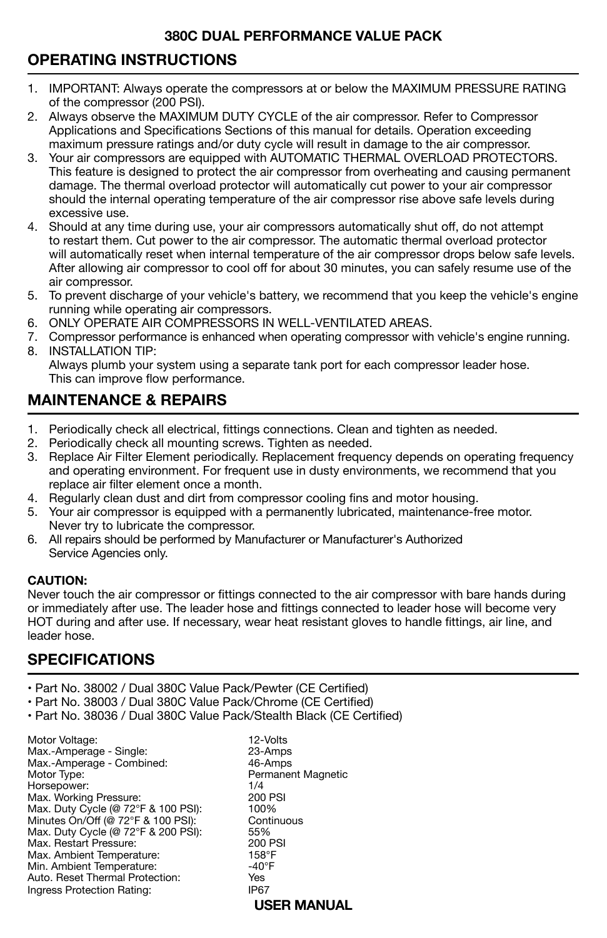# **OPERATING INSTRUCTIONS**

- 1. IMPORTANT: Always operate the compressors at or below the MAXIMUM PRESSURE RATING of the compressor (200 PSI).
- 2. Always observe the MAXIMUM DUTY CYCLE of the air compressor. Refer to Compressor Applications and Specifications Sections of this manual for details. Operation exceeding maximum pressure ratings and/or duty cycle will result in damage to the air compressor.
- 3. Your air compressors are equipped with AUTOMATIC THERMAL OVERLOAD PROTECTORS. This feature is designed to protect the air compressor from overheating and causing permanent damage. The thermal overload protector will automatically cut power to your air compressor should the internal operating temperature of the air compressor rise above safe levels during excessive use.
- 4. Should at any time during use, your air compressors automatically shut off, do not attempt to restart them. Cut power to the air compressor. The automatic thermal overload protector will automatically reset when internal temperature of the air compressor drops below safe levels. After allowing air compressor to cool off for about 30 minutes, you can safely resume use of the air compressor.
- 5. To prevent discharge of your vehicle's battery, we recommend that you keep the vehicle's engine running while operating air compressors.
- 6. ONLY OPERATE AIR COMPRESSORS IN WELL-VENTILATED AREAS.
- 7. Compressor performance is enhanced when operating compressor with vehicle's engine running. 8. INSTALLATION TIP:
	- Always plumb your system using a separate tank port for each compressor leader hose. This can improve flow performance.

# **MAINTENANCE & REPAIRS**

- 1. Periodically check all electrical, fittings connections. Clean and tighten as needed.
- 2. Periodically check all mounting screws. Tighten as needed.
- 3. Replace Air Filter Element periodically. Replacement frequency depends on operating frequency and operating environment. For frequent use in dusty environments, we recommend that you replace air filter element once a month.
- 4. Regularly clean dust and dirt from compressor cooling fins and motor housing.
- 5. Your air compressor is equipped with a permanently lubricated, maintenance-free motor. Never try to lubricate the compressor.
- 6. All repairs should be performed by Manufacturer or Manufacturer's Authorized Service Agencies only.

#### **CAUTION:**

Never touch the air compressor or fittings connected to the air compressor with bare hands during or immediately after use. The leader hose and fittings connected to leader hose will become very HOT during and after use. If necessary, wear heat resistant gloves to handle fittings, air line, and leader hose.

# **SPECIFICATIONS**

- Part No. 38002 / Dual 380C Value Pack/Pewter (CE Certified)
- Part No. 38003 / Dual 380C Value Pack/Chrome (CE Certified)
- Part No. 38036 / Dual 380C Value Pack/Stealth Black (CE Certified)

Motor Voltage: 12-Volts Max.-Amperage - Single: 23-Amps Max.-Amperage - Combined:<br>Motor Type: Horsepower: 1/4<br>Max. Working Pressure: 1988 1999 1999 1999 Max. Working Pressure: (200 P)<br>Max. Duty Cycle (@ 72°F & 100 PSI): (200 100%) Max. Duty Cycle (@ 72°F & 100 PSI):  $\frac{100\%}{2}$ <br>Minutes On/Off (@ 72°F & 100 PSI): Continuous Minutes On/Off (@ 72°F & 100 PSI): Continuous Continuous Continuous Continuous Continuous Continuous C<br>Max Duty Cycle (@ 72°F & 200 PSI): 55% Max. Duty Cycle (@ 72°F & 200 PSI): 55%<br>Max. Restart Pressure: 1999 200 PSI Max. Restart Pressure: 200 PSI Max. Ambient Temperature: 158°F<br>Min. Ambient Temperature: 1999 -40°F Min. Ambient Temperature: -40°F Auto. Reset Thermal Protection: Yes Ingress Protection Rating:

Permanent Magnetic<br>1/4 **USER MANUAL**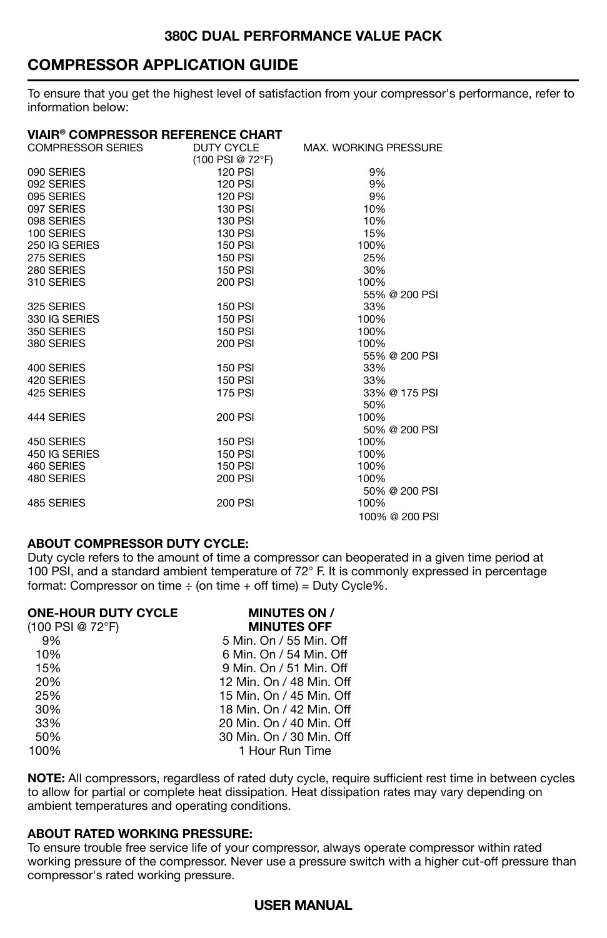## **COMPRESSOR APPLICATION GUIDE**

To ensure that you get the highest level of satisfaction from your compressor's performance, refer to information below:

#### **VIAIR® COMPRESSOR REFERENCE CHART**

| <b>COMPRESSOR SERIES</b> | <b>DUTY CYCLE</b> | <b>MAX. WORKING PRESSURE</b> |
|--------------------------|-------------------|------------------------------|
|                          | (100 PSI @ 72°F)  |                              |
| 090 SERIES               | <b>120 PSI</b>    | 9%                           |
| 092 SERIES               | <b>120 PSI</b>    | 9%                           |
| 095 SERIES               | <b>120 PSI</b>    | 9%                           |
| 097 SERIES               | 130 PSI           | 10%                          |
| 098 SERIES               | 130 PSI           | 10%                          |
| 100 SERIES               | 130 PSI           | 15%                          |
| 250 IG SERIES            | <b>150 PSI</b>    | 100%                         |
| 275 SERIES               | <b>150 PSI</b>    | 25%                          |
| 280 SERIES               | <b>150 PSI</b>    | 30%                          |
| 310 SERIES               | <b>200 PSI</b>    | 100%                         |
|                          |                   | 55% @ 200 PSI                |
| 325 SERIES               | <b>150 PSI</b>    | 33%                          |
| 330 IG SERIES            | <b>150 PSI</b>    | 100%                         |
| 350 SERIES               | <b>150 PSI</b>    | 100%                         |
| 380 SERIES               | 200 PSI           | 100%                         |
|                          |                   | 55% @ 200 PSI                |
| 400 SERIES               | <b>150 PSI</b>    | 33%                          |
| 420 SERIES               | <b>150 PSI</b>    | 33%                          |
| 425 SERIES               | <b>175 PSI</b>    | 33% @ 175 PSI                |
|                          |                   | 50%                          |
| 444 SERIES               | <b>200 PSI</b>    | 100%                         |
|                          |                   | 50% @ 200 PSI                |
| 450 SERIES               | <b>150 PSI</b>    | 100%                         |
| 450 IG SERIES            | 150 PSI           | 100%                         |
| 460 SERIES               | 150 PSI           | 100%                         |
| 480 SERIES               | <b>200 PSI</b>    | 100%                         |
|                          |                   | 50% @ 200 PSI                |
| 485 SERIES               | <b>200 PSI</b>    | 100%                         |
|                          |                   | 100% @ 200 PSI               |
|                          |                   |                              |

#### **ABOUT COMPRESSOR DUTY CYCLE:**

Duty cycle refers to the amount of time a compressor can be
operated in a given time period at 100 PSI, and a standard ambient temperature of 72° F. It is commonly expressed in percentage format: Compressor on time  $\div$  (on time  $+$  off time) = Duty Cycle%.

| <b>MINUTES ON /</b>      |
|--------------------------|
| <b>MINUTES OFF</b>       |
| 5 Min. On / 55 Min. Off  |
| 6 Min. On / 54 Min. Off  |
| 9 Min. On / 51 Min. Off  |
| 12 Min. On / 48 Min. Off |
| 15 Min. On / 45 Min. Off |
| 18 Min. On / 42 Min. Off |
| 20 Min. On / 40 Min. Off |
| 30 Min. On / 30 Min. Off |
| 1 Hour Run Time          |
|                          |

**NOTE:** All compressors, regardless of rated duty cycle, require sufficient rest time in between cycles to allow for partial or complete heat dissipation. Heat dissipation rates may vary depending on ambient temperatures and operating conditions.

#### **ABOUT RATED WORKING PRESSURE:**

To ensure trouble free service life of your compressor, always operate compressor within rated working pressure of the compressor. Never use a pressure switch with a higher cut-off pressure than compressor's rated working pressure.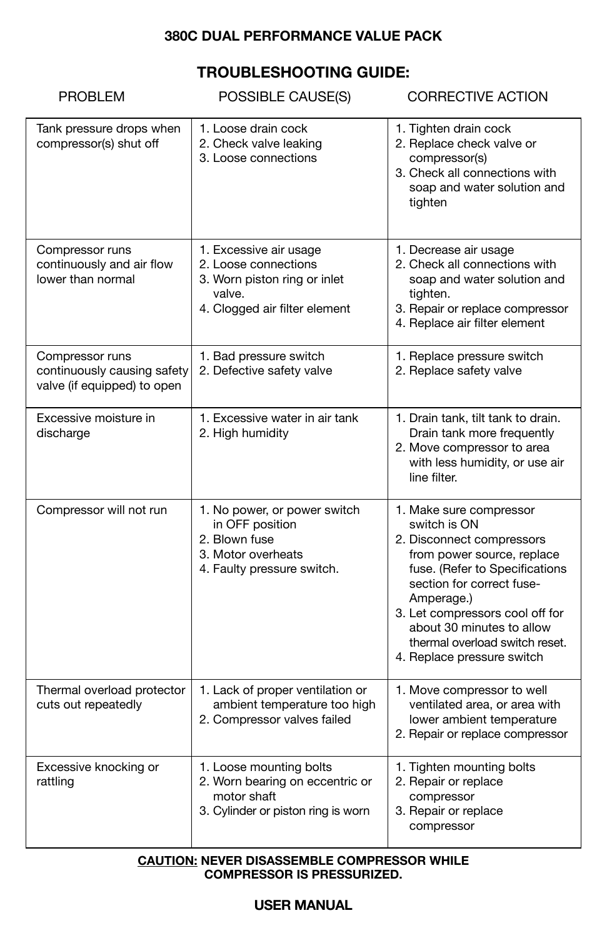# **TROUBLESHOOTING GUIDE:**

| <b>PROBLEM</b>                                                                | POSSIBLE CAUSE(S)                                                                                                         | <b>CORRECTIVE ACTION</b>                                                                                                                                                                                                                                                                                        |
|-------------------------------------------------------------------------------|---------------------------------------------------------------------------------------------------------------------------|-----------------------------------------------------------------------------------------------------------------------------------------------------------------------------------------------------------------------------------------------------------------------------------------------------------------|
| Tank pressure drops when<br>compressor(s) shut off                            | 1. Loose drain cock<br>2. Check valve leaking<br>3. Loose connections                                                     | 1. Tighten drain cock<br>2. Replace check valve or<br>compressor(s)<br>3. Check all connections with<br>soap and water solution and<br>tighten                                                                                                                                                                  |
| Compressor runs<br>continuously and air flow<br>lower than normal             | 1. Excessive air usage<br>2. Loose connections<br>3. Worn piston ring or inlet<br>valve.<br>4. Clogged air filter element | 1. Decrease air usage<br>2. Check all connections with<br>soap and water solution and<br>tighten.<br>3. Repair or replace compressor<br>4. Replace air filter element                                                                                                                                           |
| Compressor runs<br>continuously causing safety<br>valve (if equipped) to open | 1. Bad pressure switch<br>2. Defective safety valve                                                                       | 1. Replace pressure switch<br>2. Replace safety valve                                                                                                                                                                                                                                                           |
| Excessive moisture in<br>discharge                                            | 1. Excessive water in air tank<br>2. High humidity                                                                        | 1. Drain tank, tilt tank to drain.<br>Drain tank more frequently<br>2. Move compressor to area<br>with less humidity, or use air<br>line filter.                                                                                                                                                                |
| Compressor will not run                                                       | 1. No power, or power switch<br>in OFF position<br>2. Blown fuse<br>3. Motor overheats<br>4. Faulty pressure switch.      | 1. Make sure compressor<br>switch is ON<br>2. Disconnect compressors<br>from power source, replace<br>fuse. (Refer to Specifications<br>section for correct fuse-<br>Amperage.)<br>3. Let compressors cool off for<br>about 30 minutes to allow<br>thermal overload switch reset.<br>4. Replace pressure switch |
| Thermal overload protector<br>cuts out repeatedly                             | 1. Lack of proper ventilation or<br>ambient temperature too high<br>2. Compressor valves failed                           | 1. Move compressor to well<br>ventilated area, or area with<br>lower ambient temperature<br>2. Repair or replace compressor                                                                                                                                                                                     |
| Excessive knocking or<br>rattling                                             | 1. Loose mounting bolts<br>2. Worn bearing on eccentric or<br>motor shaft<br>3. Cylinder or piston ring is worn           | 1. Tighten mounting bolts<br>2. Repair or replace<br>compressor<br>3. Repair or replace<br>compressor                                                                                                                                                                                                           |

#### **CAUTION: NEVER DISASSEMBLE COMPRESSOR WHILE COMPRESSOR IS PRESSURIZED.**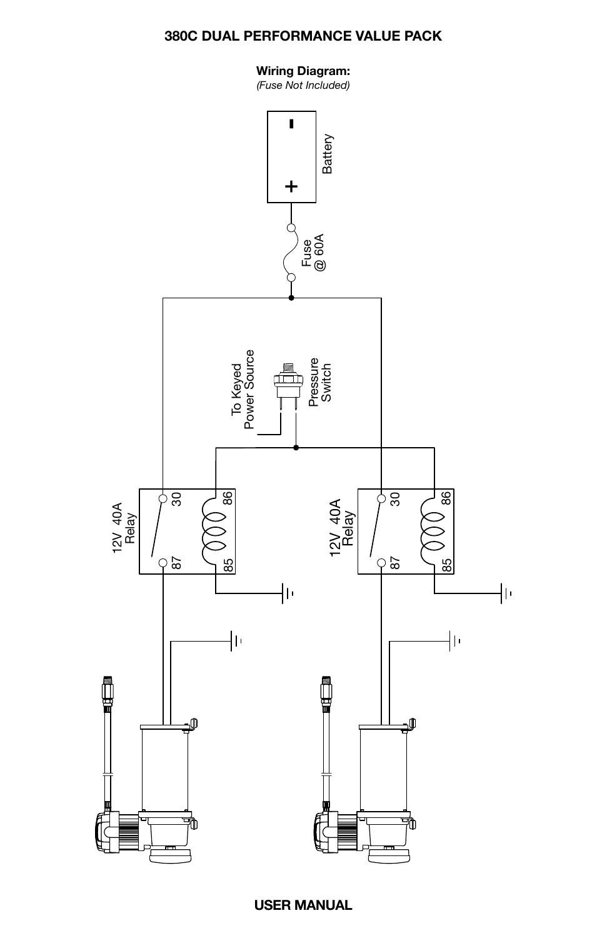### **Wiring Diagram:**

*(Fuse Not Included)*